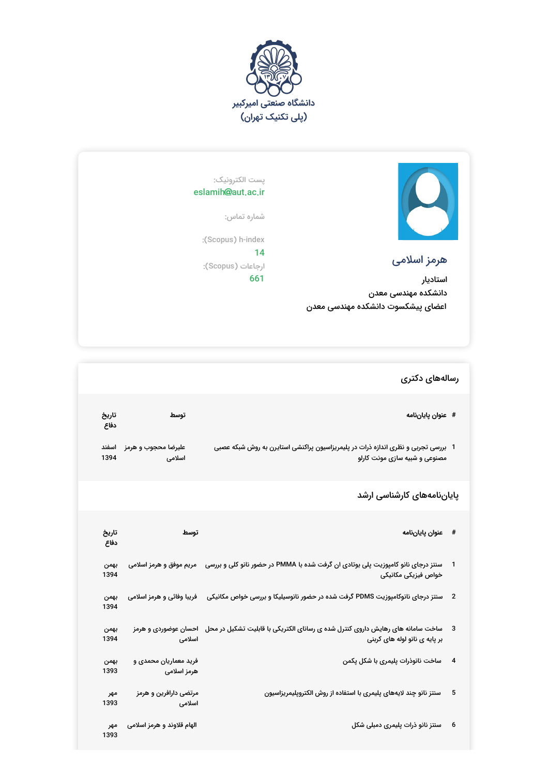



## هرمز اسلامی

استادیار دانشکده مهندسی معدن اعضای پیشکسوت دانشکده مهندسی معدن

## پست الکترونیک: eslamih@aut.ac.ir

شماره تماس:

:(Scopus) h-index

14 ارجاعات (Scopus(: 661

## رسالههای دکتری

| تاريخ<br>دفاع | توسط                                 | # عنوان پاياننامه                                                                                                                       |                          |
|---------------|--------------------------------------|-----------------------------------------------------------------------------------------------------------------------------------------|--------------------------|
| اسفند<br>1394 | عليرضا محجوب و هرمز<br>اسلامی        | 1  بررسی تجربی و نظری اندازه ذرات در پلیمریزاسیون پراکنشی استایرن به روش شبکه عصبی<br>مصنوعی و شبیه سازی مونت کارلو                     |                          |
|               |                                      | پایاننامههای کارشناسی ارشد                                                                                                              |                          |
| تاريخ<br>دفاع | توسط                                 | عنوان پاياننامه                                                                                                                         | #                        |
| بهمن<br>1394  |                                      | سنتز درجای نانو کامپوزیت پلی بوتادی ان گرفت شده با PMMA در حضور نانو کلی و بررسی     مریم موفق و هرمز اسلامی<br>خواص فيزيكى مكانيكى     |                          |
| بهمن<br>1394  | فریبا وفائی و هرمز اسلامی            | سنتز درجای نانوکامپوزیت PDMS گرفت شده در حضور نانوسیلیکا و بررسی خواص مکانیکی                                                           | $\overline{\phantom{a}}$ |
| بهمن<br>1394  | اسلامى                               | ساخت سامانه های رهایش داروی کنترل شده ی رسانای الکتریکی با قابلیت تشکیل در محل    احسان عوضوردی و هرمز<br>بر پایه ی نانو لوله های کربنی | -3                       |
| بهمن<br>1393  | فرید معماریان محمدی و<br>هرمز اسلامی | ساخت نانوذرات پلیمری با شکل پکمن                                                                                                        | $\overline{\mathbf{4}}$  |
| مهر<br>1393   | مرتضی دارافرین و هرمز<br>اسلامى      | سنتز نانو چند لایههای پلیمری با استفاده از روش الکتروپلیمریزاسیون                                                                       | 5                        |
| مهر<br>1393   | الهام قلاوند و هرمز اسلامی           | سنتز نانو ذرات پلیمری دمبلی شکل                                                                                                         | 6                        |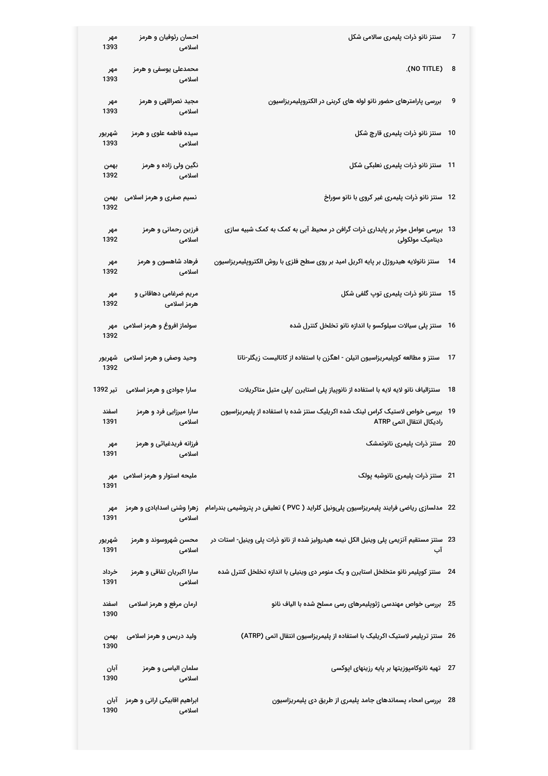| مهر<br>1393    | احسان رئوفيان و هرمز<br>اسلامى         | سنتز نانو ذرات پلیمری سالامی شکل                                                                                      | 7    |
|----------------|----------------------------------------|-----------------------------------------------------------------------------------------------------------------------|------|
| مهر<br>1393    | محمدعلی یوسفی و هرمز<br>اسلامى         | (NO TITLE) 8                                                                                                          |      |
| مهر<br>1393    | مجید نصراللهی و هرمز<br>اسلامى         | بررسی پارامترهای حضور نانو لوله های کربنی در الکتروپلیمریزاسیون                                                       | 9    |
| شهريور<br>1393 | سیده فاطمه علوی و هرمز<br>اسلامى       | سنتز نانو ذرات پلیمری قارچ شکل                                                                                        | 10   |
| بهمن<br>1392   | نگین ولی زاده و هرمز<br>اسلامى         | 11   سنتز نانو ذرات پلیمری نعلبکی شکل                                                                                 |      |
| بهمن<br>1392   | نسیم صفری و هرمز اسلامی                | 12   سنتز نانو ذرات پلیمری غیر کروی با نانو سوراخ                                                                     |      |
| مهر<br>1392    | فرزین رحمانی و هرمز<br>اسلامى          | 13   بررسی عوامل موثر بر پایداری ذرات گرافن در محیط آبی به کمک به کمک شبیه سازی<br>دینامیک مولکولی                    |      |
| مهر<br>1392    | فرهاد شاهسون و هرمز<br>اسلامى          | سنتز نانولایه هیدروژل بر پایه اکریل امید بر روی سطح فلزی با روش الکتروپلیمریزاسیون                                    | - 14 |
| مهر<br>1392    | مریم ضرغامی دهاقانی و<br>هرمز اسلامی   | سنتز نانو ذرات پلیمری توپ گلفی شکل                                                                                    | - 15 |
| 1392           | سولماز افروغ و هرمز اسلامی۔ مهر        | سنتز پلی سیالات سیلوکسو با اندازه نانو تخلخل کنترل شده                                                                | -16  |
| 1392           | وحید وصفی و هرمز اسلامی  شهریور        | سنتز و مطالعه کوپلیمریزاسیون اتیلن - اهگزن با استفاده از کاتالیست زیگلر-ناتا                                          | 17   |
| تير 1392       | سارا جوادی و هرمز اسلامی               | سنتزالیاف نانو لایه لایه با استفاده از نانوپیاز پلی استایرن /پلی متیل متاکریلات                                       | 18   |
| اسفند<br>1391  | سارا میرزایی فرد و هرمز<br>اسلامى      | بررسی خواص لاستیک کراس لینک شده اکریلیک سنتز شده با استفاده از پلیمریزاسیون<br>رادیکال انتقال اتمی ATRP               | 19   |
| مهر<br>1391    | فرزانه فریدغیاثی و هرمز<br>اسلامى      | 20 ٪ سنتز ذرات پلیمری نانوتمشک                                                                                        |      |
| 1391           | ملیحه استوار و هرمز اسلامی مهر         | 21   سنتز ذرات پلیمری نانوشبه پولک                                                                                    |      |
| مهر<br>1391    | اسلامى                                 | 22   مدلسازی ریاضی فرایند پلیمریزاسیون پلیونیل کلراید ( PVC ) تعلیقی در پتروشیمی بندرامام   زهرا وشنی اسدابادی و هرمز |      |
| شهريور<br>1391 | محسن شهروسوند و هرمز<br>اسلامى         | 23 ٪ سنتز مستقیم آنزیمی پلی وینیل الکل نیمه هیدرولیز شده از نانو ذرات پلی وینیل- استات در<br>آب                       |      |
| خرداد<br>1391  | سارا اکبریان تفاقی و هرمز<br>اسلامى    | 24 ٪ سنتز کویلیمر نانو متخلخل استایرن و یک منومر دی وینیلی با اندازه تخلخل کنترل شده                                  |      |
| اسفند<br>1390  | ارمان مرفع و هرمز اسلامی               | 25 ٪ بررسی خواص مهندسی ژئوپلیمرهای رسی مسلح شده با الیاف نانو                                                         |      |
| بهمن<br>1390   | ولید دریس و هرمز اسلامی                | 26   سنتز تریلیمر لاستیک اکریلیک با استفاده از پلیمریزاسیون انتقال اتمی (ATRP)                                        |      |
| آبان<br>1390   | سلمان الیاسی و هرمز<br>اسلامى          | 27 ٪ تهیه نانوکامپوزیتها بر پایه رزینهای اپوکسی                                                                       |      |
| آبان<br>1390   | ابراهیم اقابیکی ارانی و هرمز<br>اسلامى | 28 ٪ بررسی امحاء پسماندهای جامد پلیمری از طریق دی پلیمریزاسیون                                                        |      |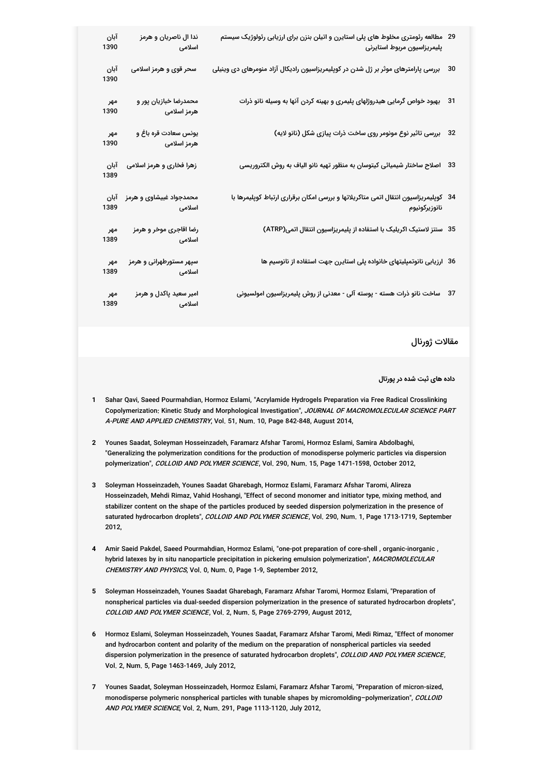| آبان<br>1390 | ندا ال ناصريان و هرمز<br>اسلامی                     | 29 ً مطالعه رئومتری مخلوط های پلی استایرن و اتیلن بنزن برای ارزیابی رئولوژیک سیستم<br>پليمريزاسيون مربوط استايرنى |    |
|--------------|-----------------------------------------------------|-------------------------------------------------------------------------------------------------------------------|----|
| آبان<br>1390 | سحر قوی و هرمز اسلامی                               | بررسی پارامترهای موثر بر ژل شدن در کوپلیمریزاسیون رادیکال آزاد منومرهای دی وینیلی                                 | 30 |
| مهر<br>1390  | محمدرضا خبازیان پور و<br>هرمز اسلامی                | بهبود خواص گرمایی هیدروژلهای پلیمری و بهینه کردن آنها به وسیله نانو ذرات                                          | 31 |
| مهر<br>1390  | یونس سعادت قره باغ و<br>هرمز اسلامی                 | بررسی تاثیر نوع مونومر روی ساخت ذرات پیازی شکل (نانو لایه)                                                        | 32 |
| آبان<br>1389 | زهرا فخاری و هرمز اسلامی                            | 33    اصلاح ساختار شیمیائی کیتوسان به منظور تهیه نانو الیاف به روش الکتروریسی                                     |    |
| آبان<br>1389 | محمدجواد غبیشاوی و هرمز<br>اسلامی می باشد.<br>منابع | 34   کوپلیمریزاسیون انتقال اتمی متاکریلاتها و بررسی امکان برقراری ارتباط کوپلیمرها با<br>نانوزيركونيوم            |    |
| مهر<br>1389  | رضا اقاجری موخر و هرمز<br>اسلامی                    | 35 سنتز لاستیک اکریلیک با استفاده از پلیمریزاسیون انتقال اتمی(ATRP)                                               |    |
| مهر<br>1389  | سپهر مستورطهرانی و هرمز<br>اسلامی <b>می</b> ان      | 36 ارزیابی نانوتمپلیتهای خانواده پلی استایرن جهت استفاده از نانوسیم ها                                            |    |
| مهر<br>1389  | امیر سعید پاکدل و هرمز<br>اسلامی                    | 37 ٪ ساخت نانو ذرات هسته - پوسته آلی - معدنی از روش پلیمریزاسیون امولسیونی                                        |    |

مقالات ژورنال

**داده های ثبت شده در پورتال**

- **1** Sahar Qavi, Saeed Pourmahdian, Hormoz Eslami, "Acrylamide Hydrogels Preparation via Free Radical Crosslinking Copolymerization: Kinetic Study and Morphological Investigation", JOURNAL OF MACROMOLECULAR SCIENCE PART A*-PURE AND APPLIED CHEMISTRY*, Vol. 51, Num. 10, Page 842-848, August 2014,
- **2** Younes Saadat, Soleyman Hosseinzadeh, Faramarz Afshar Taromi, Hormoz Eslami, Samira Abdolbaghi, "Generalizing the polymerization conditions for the production of monodisperse polymeric particles via dispersion polymerization", COLLOID AND POLYMER SCIENCE, Vol. 290, Num. 15, Page 1471-1598, October 2012,
- **3** Soleyman Hosseinzadeh, Younes Saadat Gharebagh, Hormoz Eslami, Faramarz Afshar Taromi, Alireza Hosseinzadeh, Mehdi Rimaz, Vahid Hoshangi, "Effect of second monomer and initiator type, mixing method, and stabilizer content on the shape of the particles produced by seeded dispersion polymerization in the presence of saturated hydrocarbon droplets", *COLLOID AND POLYMER SCIENCE*, Vol. 290, Num. 1, Page 1713-1719, September 2012,
- **4** Amir Saeid Pakdel, Saeed Pourmahdian, Hormoz Eslami, "one-pot preparation of core-shell , organic-inorganic , hybrid latexes by in situ nanoparticle precipitation in pickering emulsion polymerization", MACROMOLECULAR *CHEMISTRY AND PHYSICS*, Vol. 0, Num. 0, Page 1-9, September 2012,
- **5** Soleyman Hosseinzadeh, Younes Saadat Gharebagh, Faramarz Afshar Taromi, Hormoz Eslami, "Preparation of nonspherical particles via dual-seeded dispersion polymerization in the presence of saturated hydrocarbon droplets", COLLOID AND POLYMER SCIENCE, Vol. 2, Num. 5, Page 2769-2799, August 2012,
- **6** Hormoz Eslami, Soleyman Hosseinzadeh, Younes Saadat, Faramarz Afshar Taromi, Medi Rimaz, "Effect of monomer and hydrocarbon content and polarity of the medium on the preparation of nonspherical particles via seeded dispersion polymerization in the presence of saturated hydrocarbon droplets", *COLLOID AND POLYMER SCIENCE*, Vol. 2, Num. 5, Page 1463-1469, July 2012,
- **7** Younes Saadat, Soleyman Hosseinzadeh, Hormoz Eslami, Faramarz Afshar Taromi, "Preparation of micron-sized, monodisperse polymeric nonspherical particles with tunable shapes by micromolding–polymerization", COLLOID *AND POLYMER SCIENCE*, Vol. 2, Num. 291, Page 1113-1120, July 2012,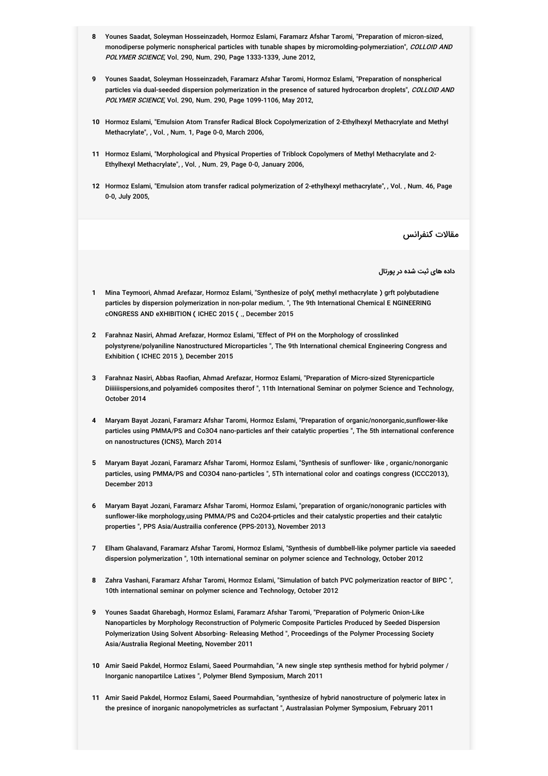- **8** Younes Saadat, Soleyman Hosseinzadeh, Hormoz Eslami, Faramarz Afshar Taromi, "Preparation of micron-sized, monodiperse polymeric nonspherical particles with tunable shapes by micromolding-polymerziation", *COLLOID AND POLYMER SCIENCE*, Vol. 290, Num. 290, Page 1333-1339, June 2012,
- **9** Younes Saadat, Soleyman Hosseinzadeh, Faramarz Afshar Taromi, Hormoz Eslami, "Preparation of nonspherical particles via dual-seeded dispersion polymerization in the presence of satured hydrocarbon droplets", *COLLOID AND POLYMER SCIENCE*, Vol. 290, Num. 290, Page 1099-1106, May 2012,
- **10** Hormoz Eslami, "Emulsion Atom Transfer Radical Block Copolymerization of 2-Ethylhexyl Methacrylate and Methyl Methacrylate", , Vol. , Num. 1, Page 0-0, March 2006,
- **11** Hormoz Eslami, "Morphological and Physical Properties of Triblock Copolymers of Methyl Methacrylate and 2- Ethylhexyl Methacrylate", , Vol. , Num. 29, Page 0-0, January 2006,
- **12** Hormoz Eslami, "Emulsion atom transfer radical polymerization of 2-ethylhexyl methacrylate", , Vol. , Num. 46, Page 0-0, July 2005,

مقالات کنفرانس

**داده های ثبت شده در پورتال**

- **1** Mina Teymoori, Ahmad Arefazar, Hormoz Eslami, "Synthesize of poly( methyl methacrylate ) grft polybutadiene particles by dispersion polymerization in non-polar medium. ", The 9th International Chemical E NGINEERING cONGRESS AND eXHIBITION ( ICHEC 2015 ( ., December 2015
- **2** Farahnaz Nasiri, Ahmad Arefazar, Hormoz Eslami, "Effect of PH on the Morphology of crosslinked polystyrene/polyaniline Nanostructured Microparticles ", The 9th International chemical Engineering Congress and Exhibition ( ICHEC 2015 ), December 2015
- **3** Farahnaz Nasiri, Abbas Raofian, Ahmad Arefazar, Hormoz Eslami, "Preparation of Micro-sized Styrenicparticle Diiiiiispersions,and polyamide6 composites therof ", 11th International Seminar on polymer Science and Technology, October 2014
- **4** Maryam Bayat Jozani, Faramarz Afshar Taromi, Hormoz Eslami, "Preparation of organic/nonorganic,sunflower-like particles using PMMA/PS and Co3O4 nano-particles anf their catalytic properties ", The 5th international conference on nanostructures (ICNS), March 2014
- **5** Maryam Bayat Jozani, Faramarz Afshar Taromi, Hormoz Eslami, "Synthesis of sunflower- like , organic/nonorganic particles, using PMMA/PS and CO3O4 nano-particles ", 5Th international color and coatings congress (ICCC2013), December 2013
- **6** Maryam Bayat Jozani, Faramarz Afshar Taromi, Hormoz Eslami, "preparation of organic/nonogranic particles with sunflower-like morphology,using PMMA/PS and Co2O4-prticles and their catalystic properties and their catalytic properties ", PPS Asia/Austrailia conference (PPS-2013), November 2013
- **7** Elham Ghalavand, Faramarz Afshar Taromi, Hormoz Eslami, "Synthesis of dumbbell-like polymer particle via saeeded dispersion polymerization ", 10th international seminar on polymer science and Technology, October 2012
- **8** Zahra Vashani, Faramarz Afshar Taromi, Hormoz Eslami, "Simulation of batch PVC polymerization reactor of BIPC ", 10th international seminar on polymer science and Technology, October 2012
- **9** Younes Saadat Gharebagh, Hormoz Eslami, Faramarz Afshar Taromi, "Preparation of Polymeric Onion-Like Nanoparticles by Morphology Reconstruction of Polymeric Composite Particles Produced by Seeded Dispersion Polymerization Using Solvent Absorbing- Releasing Method ", Proceedings of the Polymer Processing Society Asia/Australia Regional Meeting, November 2011
- **10** Amir Saeid Pakdel, Hormoz Eslami, Saeed Pourmahdian, "A new single step synthesis method for hybrid polymer / Inorganic nanopartilce Latixes ", Polymer Blend Symposium, March 2011
- **11** Amir Saeid Pakdel, Hormoz Eslami, Saeed Pourmahdian, "synthesize of hybrid nanostructure of polymeric latex in the presince of inorganic nanopolymetricles as surfactant ", Australasian Polymer Symposium, February 2011